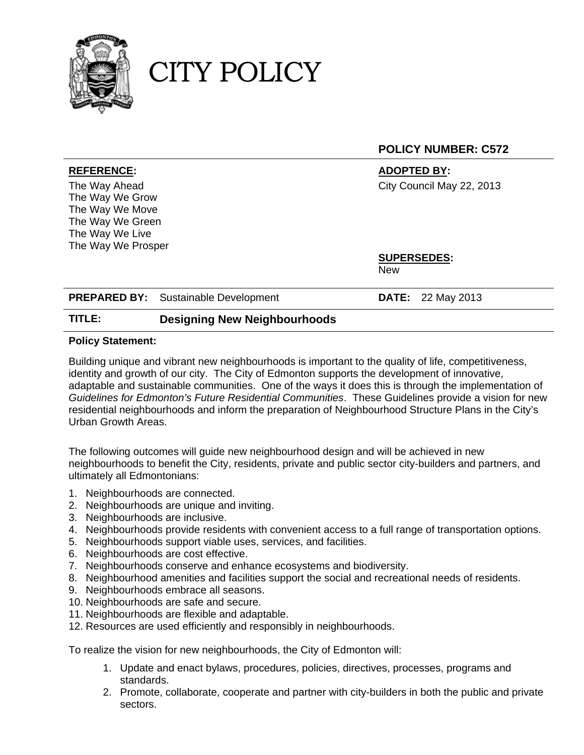

The Way Ahead The Way We Grow The Way We Move The Way We Green The Way We Live The Way We Prosper

# CITY POLICY

### **POLICY NUMBER: C572**

## **REFERENCE: ADOPTED BY:**

City Council May 22, 2013

**SUPERSEDES:**  New

|        | <b>PREPARED BY:</b> Sustainable Development | <b>DATE:</b> 22 May 2013 |
|--------|---------------------------------------------|--------------------------|
| TITLE: | <b>Designing New Neighbourhoods</b>         |                          |

#### **Policy Statement:**

Building unique and vibrant new neighbourhoods is important to the quality of life, competitiveness, identity and growth of our city. The City of Edmonton supports the development of innovative, adaptable and sustainable communities. One of the ways it does this is through the implementation of *Guidelines for Edmonton's Future Residential Communities*. These Guidelines provide a vision for new residential neighbourhoods and inform the preparation of Neighbourhood Structure Plans in the City's Urban Growth Areas.

The following outcomes will guide new neighbourhood design and will be achieved in new neighbourhoods to benefit the City, residents, private and public sector city-builders and partners, and ultimately all Edmontonians:

- 1. Neighbourhoods are connected.
- 2. Neighbourhoods are unique and inviting.
- 3. Neighbourhoods are inclusive.
- 4. Neighbourhoods provide residents with convenient access to a full range of transportation options.
- 5. Neighbourhoods support viable uses, services, and facilities.
- 6. Neighbourhoods are cost effective.
- 7. Neighbourhoods conserve and enhance ecosystems and biodiversity.
- 8. Neighbourhood amenities and facilities support the social and recreational needs of residents.
- 9. Neighbourhoods embrace all seasons.
- 10. Neighbourhoods are safe and secure.
- 11. Neighbourhoods are flexible and adaptable.
- 12. Resources are used efficiently and responsibly in neighbourhoods.

To realize the vision for new neighbourhoods, the City of Edmonton will:

- 1. Update and enact bylaws, procedures, policies, directives, processes, programs and standards.
- 2. Promote, collaborate, cooperate and partner with city-builders in both the public and private sectors.